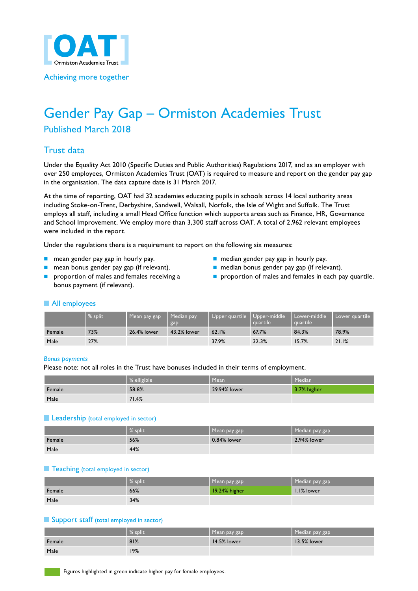

#### Achieving more together

# Gender Pay Gap – Ormiston Academies Trust

# Published March 2018

# Trust data

Under the Equality Act 2010 (Specific Duties and Public Authorities) Regulations 2017, and as an employer with over 250 employees, Ormiston Academies Trust (OAT) is required to measure and report on the gender pay gap in the organisation. The data capture date is 31 March 2017.

At the time of reporting, OAT had 32 academies educating pupils in schools across 14 local authority areas including Stoke-on-Trent, Derbyshire, Sandwell, Walsall, Norfolk, the Isle of Wight and Suffolk. The Trust employs all staff, including a small Head Office function which supports areas such as Finance, HR, Governance and School Improvement. We employ more than 3,300 staff across OAT. A total of 2,962 relevant employees were included in the report.

Under the regulations there is a requirement to report on the following six measures:

- n mean gender pay gap in hourly pay. n median gender pay gap in hourly pay.
- 
- bonus payment (if relevant).
- 
- n mean bonus gender pay gap (if relevant). n median bonus gender pay gap (if relevant).
- **n** proportion of males and females receiving a **n** proportion of males and females in each pay quartile.

#### All employees

|        | % split. | Mean pay gap | Median pay<br>gap | Upper quartile   Upper-middle | quartile | Lower-middle<br>quartile | ı Lower guartile |
|--------|----------|--------------|-------------------|-------------------------------|----------|--------------------------|------------------|
| Female | 73%      | 26.4% lower  | 43.2% lower       | 62.1%                         | 67.7%    | 84.3%                    | 78.9%            |
| Male   | 27%      |              |                   | 37.9%                         | 32.3%    | 15.7%                    | 21.1%            |

#### *Bonus payments*

Please note: not all roles in the Trust have bonuses included in their terms of employment.

|        | % elligible | Mean         | Median      |
|--------|-------------|--------------|-------------|
| Female | 58.8%       | 29.94% lower | 3.7% higher |
| Male   | 71.4%       |              |             |

#### **Leadership** (total employed in sector)

|        | $%$ split | Mean pay gap | Median pay gap |
|--------|-----------|--------------|----------------|
| Female | 56%       | 0.84% lower  | 2.94% lower    |
| Male   | 44%       |              |                |

#### **Teaching** (total employed in sector)

|        | % split | Mean pay gap  | Median pay gap |
|--------|---------|---------------|----------------|
| Female | 66%     | 19.24% higher | 1.1% lower     |
| Male   | 34%     |               |                |

#### **Support staff (total employed in sector)**

|        | $\%$ split | Mean pay gap | Median pay gap |
|--------|------------|--------------|----------------|
| Female | 81%        | 14.5% lower  | 13.5% lower    |
| Male   | 19%        |              |                |

Figures highlighted in green indicate higher pay for female employees.